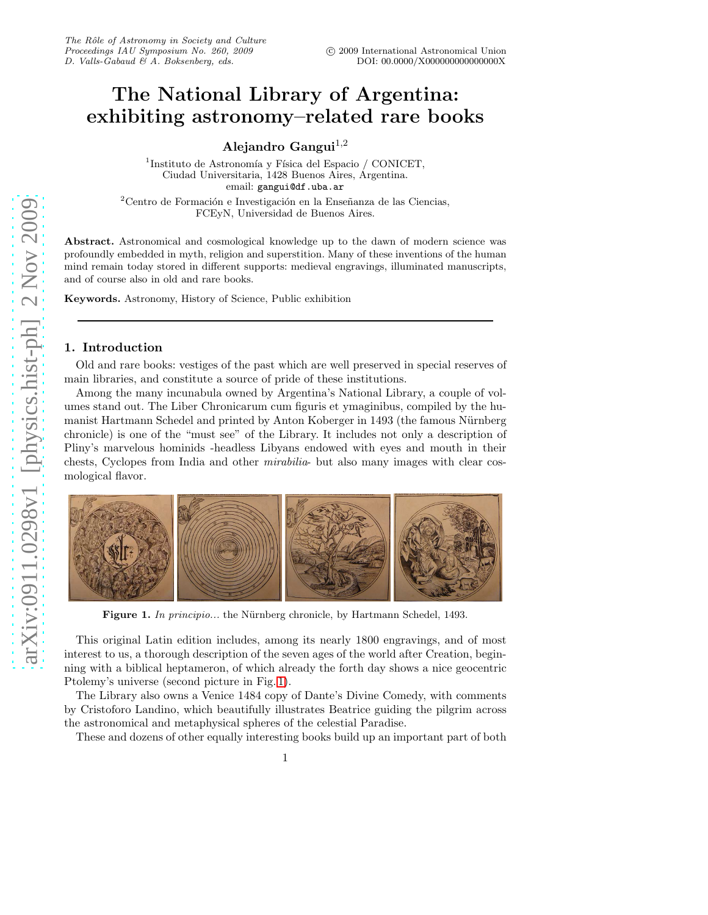## The National Library of Argentina: exhibiting astronomy–related rare books

Alejandro Gangui $^{1,2}$ 

 $1$ Instituto de Astronomía y Física del Espacio / CONICET, Ciudad Universitaria, 1428 Buenos Aires, Argentina. email: gangui@df.uba.ar

 $2^2$ Centro de Formación e Investigación en la Enseñanza de las Ciencias, FCEyN, Universidad de Buenos Aires.

Abstract. Astronomical and cosmological knowledge up to the dawn of modern science was profoundly embedded in myth, religion and superstition. Many of these inventions of the human mind remain today stored in different supports: medieval engravings, illuminated manuscripts, and of course also in old and rare books.

Keywords. Astronomy, History of Science, Public exhibition

## 1. Introduction

Old and rare books: vestiges of the past which are well preserved in special reserves of main libraries, and constitute a source of pride of these institutions.

Among the many incunabula owned by Argentina's National Library, a couple of volumes stand out. The Liber Chronicarum cum figuris et ymaginibus, compiled by the humanist Hartmann Schedel and printed by Anton Koberger in 1493 (the famous Nürnberg chronicle) is one of the "must see" of the Library. It includes not only a description of Pliny's marvelous hominids -headless Libyans endowed with eyes and mouth in their chests, Cyclopes from India and other mirabilia- but also many images with clear cosmological flavor.



<span id="page-0-0"></span>Figure 1. In principio... the Nürnberg chronicle, by Hartmann Schedel, 1493.

This original Latin edition includes, among its nearly 1800 engravings, and of most interest to us, a thorough description of the seven ages of the world after Creation, beginning with a biblical heptameron, of which already the forth day shows a nice geocentric Ptolemy's universe (second picture in Fig. [1\)](#page-0-0).

The Library also owns a Venice 1484 copy of Dante's Divine Comedy, with comments by Cristoforo Landino, which beautifully illustrates Beatrice guiding the pilgrim across the astronomical and metaphysical spheres of the celestial Paradise.

These and dozens of other equally interesting books build up an important part of both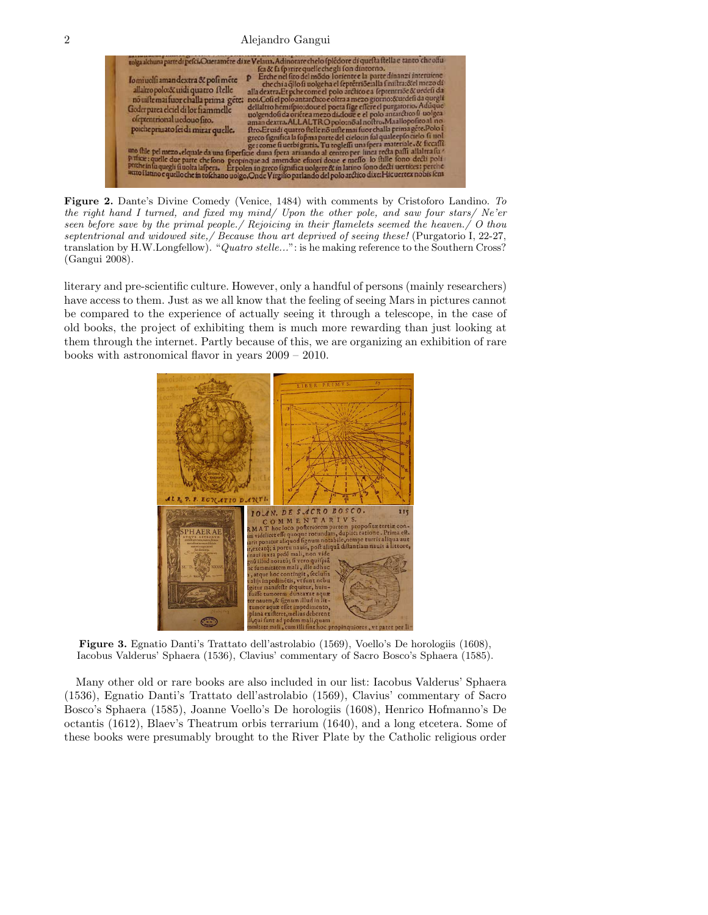

Figure 2. Dante's Divine Comedy (Venice, 1484) with comments by Cristoforo Landino. *To the right hand I turned, and fixed my mind/ Upon the other pole, and saw four stars/ Ne'er seen before save by the primal people./ Rejoicing in their flamelets seemed the heaven./ O thou septentrional and widowed site,/ Because thou art deprived of seeing these!* (Purgatorio I, 22-27, translation by H.W.Longfellow). "*Quatro stelle...*": is he making reference to the Southern Cross? (Gangui 2008).

literary and pre-scientific culture. However, only a handful of persons (mainly researchers) have access to them. Just as we all know that the feeling of seeing Mars in pictures cannot be compared to the experience of actually seeing it through a telescope, in the case of old books, the project of exhibiting them is much more rewarding than just looking at them through the internet. Partly because of this, we are organizing an exhibition of rare books with astronomical flavor in years 2009 – 2010.



Figure 3. Egnatio Danti's Trattato dell'astrolabio (1569), Voello's De horologiis (1608), Iacobus Valderus' Sphaera (1536), Clavius' commentary of Sacro Bosco's Sphaera (1585).

Many other old or rare books are also included in our list: Iacobus Valderus' Sphaera (1536), Egnatio Danti's Trattato dell'astrolabio (1569), Clavius' commentary of Sacro Bosco's Sphaera (1585), Joanne Voello's De horologiis (1608), Henrico Hofmanno's De octantis (1612), Blaev's Theatrum orbis terrarium (1640), and a long etcetera. Some of these books were presumably brought to the River Plate by the Catholic religious order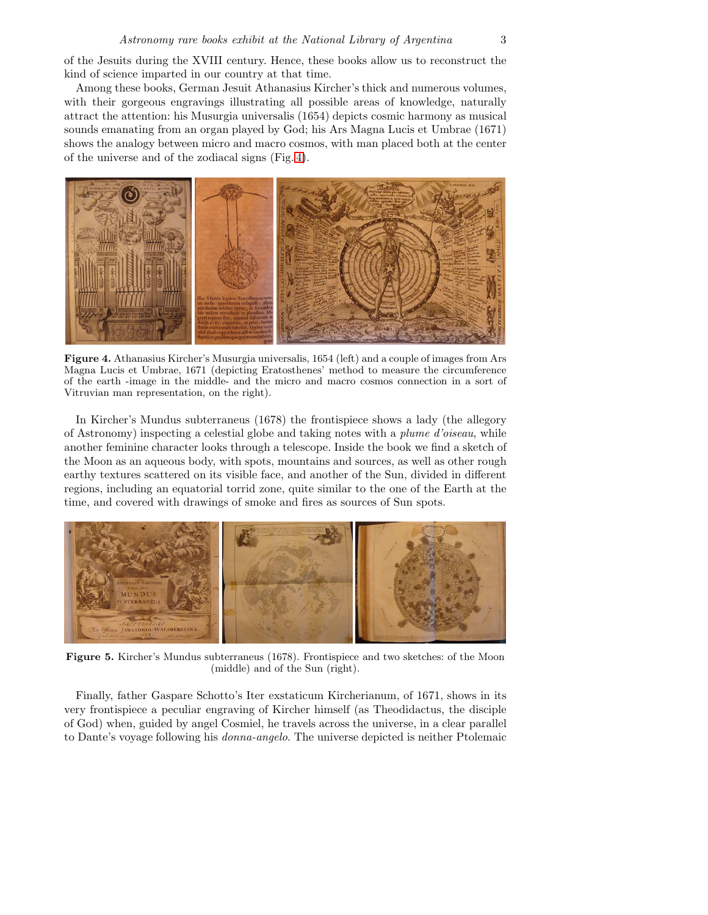of the Jesuits during the XVIII century. Hence, these books allow us to reconstruct the kind of science imparted in our country at that time.

Among these books, German Jesuit Athanasius Kircher's thick and numerous volumes, with their gorgeous engravings illustrating all possible areas of knowledge, naturally attract the attention: his Musurgia universalis (1654) depicts cosmic harmony as musical sounds emanating from an organ played by God; his Ars Magna Lucis et Umbrae (1671) shows the analogy between micro and macro cosmos, with man placed both at the center of the universe and of the zodiacal signs (Fig. [4\)](#page-2-0).



Figure 4. Athanasius Kircher's Musurgia universalis, 1654 (left) and a couple of images from Ars Magna Lucis et Umbrae, 1671 (depicting Eratosthenes' method to measure the circumference of the earth -image in the middle- and the micro and macro cosmos connection in a sort of Vitruvian man representation, on the right).

<span id="page-2-0"></span>In Kircher's Mundus subterraneus (1678) the frontispiece shows a lady (the allegory of Astronomy) inspecting a celestial globe and taking notes with a plume d'oiseau, while another feminine character looks through a telescope. Inside the book we find a sketch of the Moon as an aqueous body, with spots, mountains and sources, as well as other rough earthy textures scattered on its visible face, and another of the Sun, divided in different regions, including an equatorial torrid zone, quite similar to the one of the Earth at the time, and covered with drawings of smoke and fires as sources of Sun spots.



Figure 5. Kircher's Mundus subterraneus (1678). Frontispiece and two sketches: of the Moon (middle) and of the Sun (right).

Finally, father Gaspare Schotto's Iter exstaticum Kircherianum, of 1671, shows in its very frontispiece a peculiar engraving of Kircher himself (as Theodidactus, the disciple of God) when, guided by angel Cosmiel, he travels across the universe, in a clear parallel to Dante's voyage following his donna-angelo. The universe depicted is neither Ptolemaic